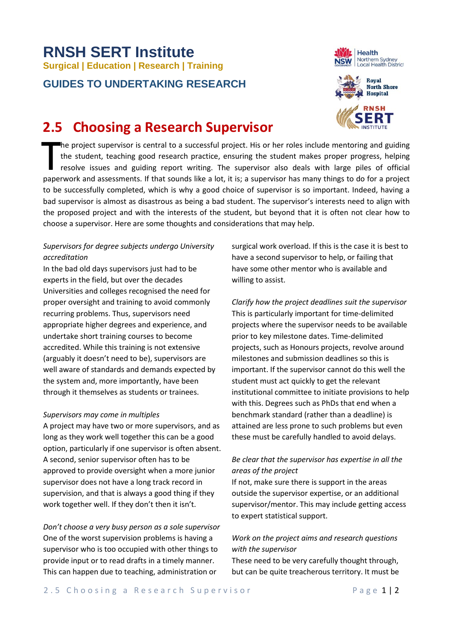# **RNSH SERT Institute Surgical | Education | Research | Training**

### **GUIDES TO UNDERTAKING RESEARCH**





## **2.5 Choosing a Research Supervisor**

he project supervisor is central to a successful project. His or her roles include mentoring and guiding the student, teaching good research practice, ensuring the student makes proper progress, helping resolve issues and guiding report writing. The supervisor also deals with large piles of official paperwork and assessments. If that sounds like a lot, it is; a supervisor has many things to do for a project to be successfully completed, which is why a good choice of supervisor is so important. Indeed, having a bad supervisor is almost as disastrous as being a bad student. The supervisor's interests need to align with the proposed project and with the interests of the student, but beyond that it is often not clear how to choose a supervisor. Here are some thoughts and considerations that may help. T

#### *Supervisors for degree subjects undergo University accreditation*

In the bad old days supervisors just had to be experts in the field, but over the decades Universities and colleges recognised the need for proper oversight and training to avoid commonly recurring problems. Thus, supervisors need appropriate higher degrees and experience, and undertake short training courses to become accredited. While this training is not extensive (arguably it doesn't need to be), supervisors are well aware of standards and demands expected by the system and, more importantly, have been through it themselves as students or trainees.

#### *Supervisors may come in multiples*

A project may have two or more supervisors, and as long as they work well together this can be a good option, particularly if one supervisor is often absent. A second, senior supervisor often has to be approved to provide oversight when a more junior supervisor does not have a long track record in supervision, and that is always a good thing if they work together well. If they don't then it isn't.

*Don't choose a very busy person as a sole supervisor* One of the worst supervision problems is having a supervisor who is too occupied with other things to provide input or to read drafts in a timely manner. This can happen due to teaching, administration or

surgical work overload. If this is the case it is best to have a second supervisor to help, or failing that have some other mentor who is available and willing to assist.

*Clarify how the project deadlines suit the supervisor* This is particularly important for time-delimited projects where the supervisor needs to be available prior to key milestone dates. Time-delimited projects, such as Honours projects, revolve around milestones and submission deadlines so this is important. If the supervisor cannot do this well the student must act quickly to get the relevant institutional committee to initiate provisions to help with this. Degrees such as PhDs that end when a benchmark standard (rather than a deadline) is attained are less prone to such problems but even these must be carefully handled to avoid delays.

#### *Be clear that the supervisor has expertise in all the areas of the project*

If not, make sure there is support in the areas outside the supervisor expertise, or an additional supervisor/mentor. This may include getting access to expert statistical support.

#### *Work on the project aims and research questions with the supervisor*

These need to be very carefully thought through, but can be quite treacherous territory. It must be